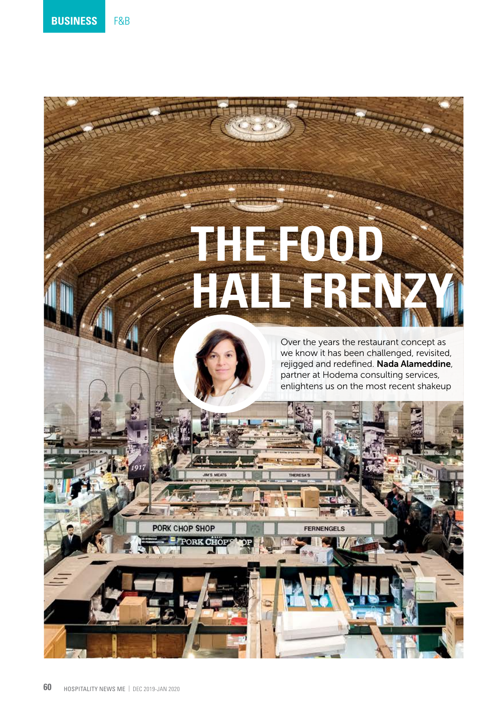# **THE FOOD HALL FRENZY**

**FERNENGELS** 

Over the years the restaurant concept as we know it has been challenged, revisited, rejigged and redefined. Nada Alameddine, partner at Hodema consulting services, enlightens us on the most recent shakeup

PORK CHOP SHOP

**PORK CHO**